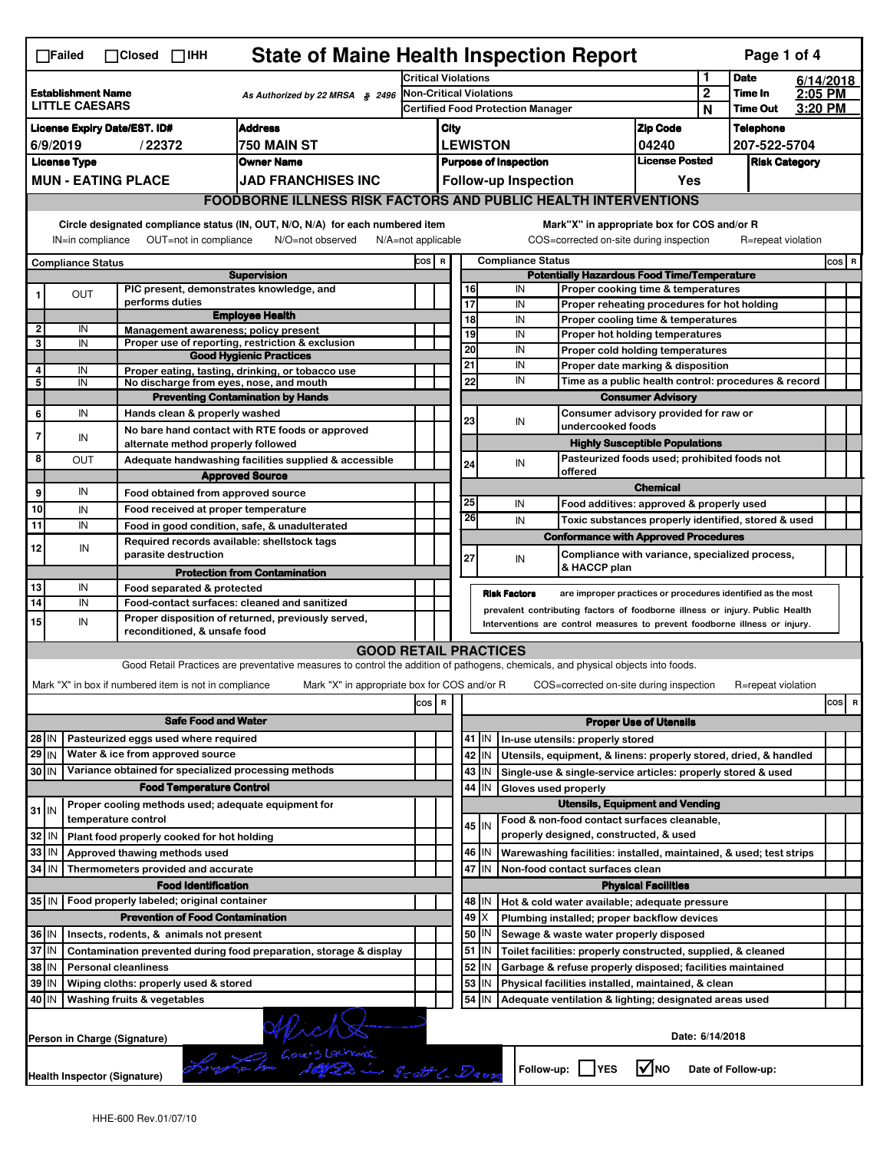|                         | $\Box$ Failed                                         | $\Box$ Closed                 |        | $\Box$ IHH           |                                            |                                                                                              |                  |                                                                                |                            |                                             |          |                 |                                          |  | <b>State of Maine Health Inspection Report</b>                                                                                              |  |                                |                  |             | Page 1 of 4                |                    |         |   |
|-------------------------|-------------------------------------------------------|-------------------------------|--------|----------------------|--------------------------------------------|----------------------------------------------------------------------------------------------|------------------|--------------------------------------------------------------------------------|----------------------------|---------------------------------------------|----------|-----------------|------------------------------------------|--|---------------------------------------------------------------------------------------------------------------------------------------------|--|--------------------------------|------------------|-------------|----------------------------|--------------------|---------|---|
|                         |                                                       |                               |        |                      |                                            |                                                                                              |                  |                                                                                | <b>Critical Violations</b> |                                             |          |                 |                                          |  |                                                                                                                                             |  |                                | 1                | <b>Date</b> |                            | 6/14/2018          |         |   |
|                         | <b>Establishment Name</b><br><b>LITTLE CAESARS</b>    |                               |        |                      |                                            |                                                                                              |                  | As Authorized by 22 MRSA $$2496$                                               | Non-Critical Violations    |                                             |          |                 |                                          |  |                                                                                                                                             |  |                                | $\boldsymbol{2}$ |             | Time In<br><b>Time Out</b> | 2:05 PM<br>3:20 PM |         |   |
|                         |                                                       |                               |        |                      |                                            |                                                                                              |                  |                                                                                |                            |                                             |          |                 | <b>Certified Food Protection Manager</b> |  |                                                                                                                                             |  |                                | N                |             |                            |                    |         |   |
|                         | <b>License Expiry Date/EST. ID#</b>                   |                               |        |                      |                                            | <b>Address</b>                                                                               |                  |                                                                                |                            | City                                        |          | <b>LEWISTON</b> |                                          |  |                                                                                                                                             |  | <b>Zip Code</b>                |                  |             | <b>Telephone</b>           |                    |         |   |
|                         | 6/9/2019                                              |                               | /22372 |                      |                                            | 750 MAIN ST<br><b>Owner Name</b>                                                             |                  |                                                                                |                            |                                             |          |                 |                                          |  |                                                                                                                                             |  | 04240<br><b>License Posted</b> |                  |             | 207-522-5704               |                    |         |   |
|                         | <b>License Type</b><br><b>MUN - EATING PLACE</b>      |                               |        |                      |                                            |                                                                                              |                  |                                                                                |                            |                                             |          |                 | <b>Purpose of Inspection</b>             |  |                                                                                                                                             |  |                                |                  |             | <b>Risk Category</b>       |                    |         |   |
|                         |                                                       |                               |        |                      |                                            | <b>JAD FRANCHISES INC</b>                                                                    |                  |                                                                                |                            |                                             |          |                 | <b>Follow-up Inspection</b>              |  |                                                                                                                                             |  |                                | Yes              |             |                            |                    |         |   |
|                         |                                                       |                               |        |                      |                                            |                                                                                              |                  |                                                                                |                            |                                             |          |                 |                                          |  | <b>FOODBORNE ILLNESS RISK FACTORS AND PUBLIC HEALTH INTERVENTIONS</b>                                                                       |  |                                |                  |             |                            |                    |         |   |
|                         | IN=in compliance                                      |                               |        |                      | OUT=not in compliance                      |                                                                                              | N/O=not observed | Circle designated compliance status (IN, OUT, N/O, N/A) for each numbered item | N/A=not applicable         |                                             |          |                 |                                          |  | Mark"X" in appropriate box for COS and/or R<br>COS=corrected on-site during inspection                                                      |  |                                |                  |             | R=repeat violation         |                    |         |   |
|                         | <b>Compliance Status</b>                              |                               |        |                      |                                            |                                                                                              |                  |                                                                                | COS R                      |                                             |          |                 | <b>Compliance Status</b>                 |  |                                                                                                                                             |  |                                |                  |             |                            |                    | $cos$ R |   |
|                         |                                                       |                               |        |                      |                                            | <b>Supervision</b>                                                                           |                  |                                                                                |                            |                                             |          |                 |                                          |  | <b>Potentially Hazardous Food Time/Temperature</b>                                                                                          |  |                                |                  |             |                            |                    |         |   |
| 1                       | <b>OUT</b>                                            |                               |        | performs duties      |                                            | PIC present, demonstrates knowledge, and                                                     |                  |                                                                                |                            |                                             | 16<br>17 |                 | IN<br>IN                                 |  | Proper cooking time & temperatures<br>Proper reheating procedures for hot holding                                                           |  |                                |                  |             |                            |                    |         |   |
|                         |                                                       |                               |        |                      |                                            | <b>Employee Health</b>                                                                       |                  |                                                                                |                            |                                             | 18       |                 | IN                                       |  | Proper cooling time & temperatures                                                                                                          |  |                                |                  |             |                            |                    |         |   |
| $\overline{\mathbf{2}}$ | IN                                                    |                               |        |                      |                                            | Management awareness; policy present                                                         |                  |                                                                                |                            |                                             | 19       |                 | IN                                       |  | Proper hot holding temperatures                                                                                                             |  |                                |                  |             |                            |                    |         |   |
| 3                       | IN                                                    |                               |        |                      |                                            | Proper use of reporting, restriction & exclusion<br><b>Good Hygienic Practices</b>           |                  |                                                                                |                            |                                             | 20       |                 | IN                                       |  | Proper cold holding temperatures                                                                                                            |  |                                |                  |             |                            |                    |         |   |
| 4                       | IN                                                    |                               |        |                      |                                            | Proper eating, tasting, drinking, or tobacco use                                             |                  |                                                                                |                            |                                             | 21       |                 | IN                                       |  | Proper date marking & disposition                                                                                                           |  |                                |                  |             |                            |                    |         |   |
| 5                       | IN                                                    |                               |        |                      |                                            | No discharge from eyes, nose, and mouth                                                      |                  |                                                                                |                            |                                             | 22       |                 | IN                                       |  | Time as a public health control: procedures & record                                                                                        |  |                                |                  |             |                            |                    |         |   |
|                         |                                                       |                               |        |                      |                                            | <b>Preventing Contamination by Hands</b>                                                     |                  |                                                                                |                            |                                             |          |                 |                                          |  |                                                                                                                                             |  | <b>Consumer Advisory</b>       |                  |             |                            |                    |         |   |
| 6                       | IN                                                    |                               |        |                      | Hands clean & properly washed              |                                                                                              |                  |                                                                                |                            |                                             | 23       |                 | IN                                       |  | Consumer advisory provided for raw or                                                                                                       |  |                                |                  |             |                            |                    |         |   |
| $\overline{7}$          | IN                                                    |                               |        |                      |                                            | No bare hand contact with RTE foods or approved                                              |                  |                                                                                |                            |                                             |          |                 |                                          |  | undercooked foods                                                                                                                           |  |                                |                  |             |                            |                    |         |   |
| 8                       |                                                       |                               |        |                      |                                            | alternate method properly followed                                                           |                  |                                                                                |                            |                                             |          |                 |                                          |  | <b>Highly Susceptible Populations</b><br>Pasteurized foods used; prohibited foods not                                                       |  |                                |                  |             |                            |                    |         |   |
|                         | ΟUΤ                                                   |                               |        |                      |                                            |                                                                                              |                  | Adequate handwashing facilities supplied & accessible                          |                            |                                             | 24       |                 | IN                                       |  | offered                                                                                                                                     |  |                                |                  |             |                            |                    |         |   |
| 9                       | IN                                                    |                               |        |                      |                                            | <b>Approved Source</b>                                                                       |                  |                                                                                |                            |                                             |          |                 |                                          |  |                                                                                                                                             |  | <b>Chemical</b>                |                  |             |                            |                    |         |   |
| 10                      |                                                       |                               |        |                      |                                            | Food obtained from approved source                                                           |                  |                                                                                |                            |                                             | 25       |                 | IN                                       |  | Food additives: approved & properly used                                                                                                    |  |                                |                  |             |                            |                    |         |   |
| 11                      | IN<br>IN                                              |                               |        |                      |                                            | Food received at proper temperature                                                          |                  |                                                                                |                            |                                             | 26       |                 | IN                                       |  | Toxic substances properly identified, stored & used                                                                                         |  |                                |                  |             |                            |                    |         |   |
|                         |                                                       |                               |        |                      |                                            | Food in good condition, safe, & unadulterated<br>Required records available: shellstock tags |                  |                                                                                |                            |                                             |          |                 |                                          |  | <b>Conformance with Approved Procedures</b>                                                                                                 |  |                                |                  |             |                            |                    |         |   |
| 12                      | IN                                                    |                               |        | parasite destruction |                                            |                                                                                              |                  |                                                                                |                            |                                             | 27       |                 | IN                                       |  | Compliance with variance, specialized process,                                                                                              |  |                                |                  |             |                            |                    |         |   |
|                         |                                                       |                               |        |                      |                                            | <b>Protection from Contamination</b>                                                         |                  |                                                                                |                            |                                             |          |                 |                                          |  | & HACCP plan                                                                                                                                |  |                                |                  |             |                            |                    |         |   |
| 13                      | IN                                                    |                               |        |                      | Food separated & protected                 |                                                                                              |                  |                                                                                |                            |                                             |          |                 |                                          |  |                                                                                                                                             |  |                                |                  |             |                            |                    |         |   |
| 14                      | IN                                                    |                               |        |                      |                                            | Food-contact surfaces: cleaned and sanitized                                                 |                  |                                                                                |                            |                                             |          |                 | <b>Risk Factors</b>                      |  | are improper practices or procedures identified as the most<br>prevalent contributing factors of foodborne illness or injury. Public Health |  |                                |                  |             |                            |                    |         |   |
| 15                      | IN                                                    |                               |        |                      |                                            | Proper disposition of returned, previously served,                                           |                  |                                                                                |                            |                                             |          |                 |                                          |  | Interventions are control measures to prevent foodborne illness or injury.                                                                  |  |                                |                  |             |                            |                    |         |   |
|                         |                                                       |                               |        |                      | reconditioned, & unsafe food               |                                                                                              |                  |                                                                                |                            |                                             |          |                 |                                          |  |                                                                                                                                             |  |                                |                  |             |                            |                    |         |   |
|                         |                                                       |                               |        |                      |                                            |                                                                                              |                  | <b>GOOD RETAIL PRACTICES</b>                                                   |                            |                                             |          |                 |                                          |  |                                                                                                                                             |  |                                |                  |             |                            |                    |         |   |
|                         |                                                       |                               |        |                      |                                            |                                                                                              |                  |                                                                                |                            |                                             |          |                 |                                          |  | Good Retail Practices are preventative measures to control the addition of pathogens, chemicals, and physical objects into foods.           |  |                                |                  |             |                            |                    |         |   |
|                         | Mark "X" in box if numbered item is not in compliance |                               |        |                      |                                            |                                                                                              |                  | Mark "X" in appropriate box for COS and/or R                                   |                            |                                             |          |                 |                                          |  | COS=corrected on-site during inspection                                                                                                     |  |                                |                  |             | R=repeat violation         |                    |         |   |
|                         |                                                       |                               |        |                      |                                            |                                                                                              |                  |                                                                                | cos                        | R                                           |          |                 |                                          |  |                                                                                                                                             |  |                                |                  |             |                            |                    | cos     | R |
|                         |                                                       |                               |        |                      | <b>Safe Food and Water</b>                 |                                                                                              |                  |                                                                                |                            |                                             |          |                 |                                          |  | <b>Proper Use of Utensils</b>                                                                                                               |  |                                |                  |             |                            |                    |         |   |
| 28 IN                   |                                                       |                               |        |                      | Pasteurized eggs used where required       |                                                                                              |                  |                                                                                |                            |                                             |          | 41 J IN         |                                          |  | In-use utensils: properly stored                                                                                                            |  |                                |                  |             |                            |                    |         |   |
| $29$ IN                 |                                                       |                               |        |                      | Water & ice from approved source           |                                                                                              |                  |                                                                                |                            |                                             | 42       | IN              |                                          |  | Utensils, equipment, & linens: properly stored, dried, & handled                                                                            |  |                                |                  |             |                            |                    |         |   |
| 30 IN                   |                                                       |                               |        |                      |                                            | Variance obtained for specialized processing methods                                         |                  |                                                                                |                            |                                             |          | 43   IN         |                                          |  | Single-use & single-service articles: properly stored & used                                                                                |  |                                |                  |             |                            |                    |         |   |
|                         |                                                       |                               |        |                      | <b>Food Temperature Control</b>            |                                                                                              |                  |                                                                                |                            |                                             |          | 44 IN           |                                          |  | Gloves used properly                                                                                                                        |  |                                |                  |             |                            |                    |         |   |
| $31$ IN                 |                                                       |                               |        |                      |                                            | Proper cooling methods used; adequate equipment for                                          |                  |                                                                                |                            |                                             |          |                 |                                          |  | <b>Utensils, Equipment and Vending</b>                                                                                                      |  |                                |                  |             |                            |                    |         |   |
|                         |                                                       | temperature control           |        |                      |                                            |                                                                                              |                  |                                                                                |                            |                                             |          | $45$ IN         |                                          |  | Food & non-food contact surfaces cleanable,                                                                                                 |  |                                |                  |             |                            |                    |         |   |
| 32 IN                   |                                                       |                               |        |                      | Plant food properly cooked for hot holding |                                                                                              |                  |                                                                                |                            |                                             |          |                 |                                          |  | properly designed, constructed, & used                                                                                                      |  |                                |                  |             |                            |                    |         |   |
| 33                      | l IN                                                  | Approved thawing methods used |        |                      |                                            |                                                                                              |                  |                                                                                |                            |                                             |          | 46 IN           |                                          |  | Warewashing facilities: installed, maintained, & used; test strips                                                                          |  |                                |                  |             |                            |                    |         |   |
| 34                      | IN                                                    |                               |        |                      | Thermometers provided and accurate         |                                                                                              |                  |                                                                                |                            | 47<br>IN<br>Non-food contact surfaces clean |          |                 |                                          |  |                                                                                                                                             |  |                                |                  |             |                            |                    |         |   |
|                         |                                                       |                               |        |                      | <b>Food Identification</b>                 |                                                                                              |                  |                                                                                |                            | <b>Physical Facilities</b>                  |          |                 |                                          |  |                                                                                                                                             |  |                                |                  |             |                            |                    |         |   |
|                         | 35 IN   Food properly labeled; original container     |                               |        |                      |                                            |                                                                                              |                  |                                                                                |                            |                                             | 48       | ΙN              |                                          |  | Hot & cold water available; adequate pressure                                                                                               |  |                                |                  |             |                            |                    |         |   |
|                         |                                                       |                               |        |                      | <b>Prevention of Food Contamination</b>    |                                                                                              |                  |                                                                                |                            |                                             |          | 49 X<br>IN      |                                          |  | Plumbing installed; proper backflow devices                                                                                                 |  |                                |                  |             |                            |                    |         |   |
| 36 IN<br>37 IN          |                                                       |                               |        |                      | Insects, rodents, & animals not present    |                                                                                              |                  |                                                                                |                            |                                             | 50       | $51$ $\vert$ IN |                                          |  | Sewage & waste water properly disposed                                                                                                      |  |                                |                  |             |                            |                    |         |   |
| 38 IN                   |                                                       |                               |        |                      |                                            |                                                                                              |                  | Contamination prevented during food preparation, storage & display             |                            |                                             | 52       |                 |                                          |  | Toilet facilities: properly constructed, supplied, & cleaned                                                                                |  |                                |                  |             |                            |                    |         |   |
| 39                      | ΙN                                                    | <b>Personal cleanliness</b>   |        |                      |                                            |                                                                                              |                  |                                                                                |                            |                                             | 53       | IN              |                                          |  | Garbage & refuse properly disposed; facilities maintained                                                                                   |  |                                |                  |             |                            |                    |         |   |
| 40 IN                   |                                                       |                               |        |                      | Wiping cloths: properly used & stored      |                                                                                              |                  |                                                                                |                            |                                             | 54       | IN<br>IN        |                                          |  | Physical facilities installed, maintained, & clean                                                                                          |  |                                |                  |             |                            |                    |         |   |
|                         |                                                       | Washing fruits & vegetables   |        |                      |                                            |                                                                                              |                  |                                                                                |                            |                                             |          |                 |                                          |  | Adequate ventilation & lighting; designated areas used                                                                                      |  |                                |                  |             |                            |                    |         |   |
|                         | Person in Charge (Signature)                          |                               |        |                      |                                            |                                                                                              |                  | Wich Starting                                                                  |                            |                                             |          |                 |                                          |  |                                                                                                                                             |  |                                | Date: 6/14/2018  |             |                            |                    |         |   |
|                         |                                                       |                               |        |                      |                                            |                                                                                              |                  |                                                                                |                            |                                             |          |                 |                                          |  |                                                                                                                                             |  |                                |                  |             |                            |                    |         |   |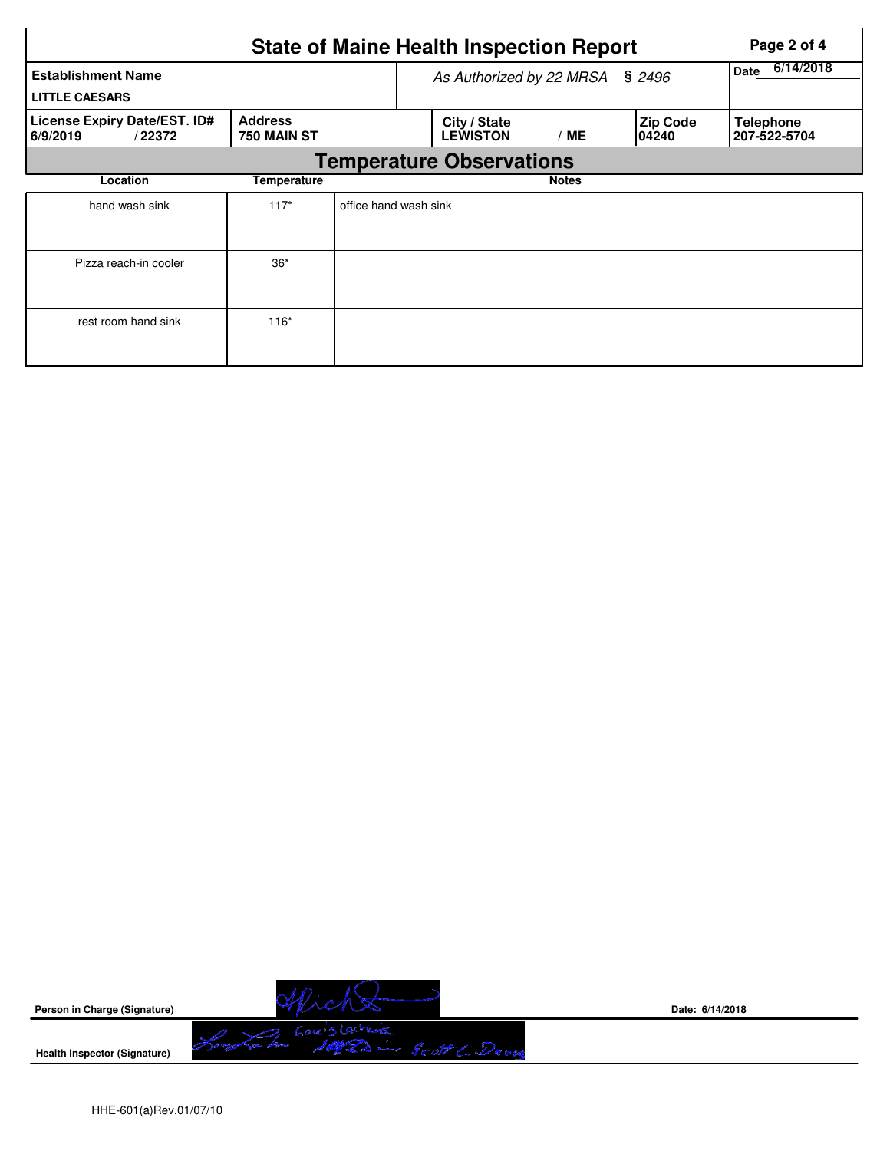|                                                    |                               |                          | <b>State of Maine Health Inspection Report</b> |              |                           | Page 2 of 4                      |  |  |  |  |  |
|----------------------------------------------------|-------------------------------|--------------------------|------------------------------------------------|--------------|---------------------------|----------------------------------|--|--|--|--|--|
| <b>Establishment Name</b><br><b>LITTLE CAESARS</b> |                               | As Authorized by 22 MRSA | 6/14/2018<br>Date                              |              |                           |                                  |  |  |  |  |  |
| License Expiry Date/EST. ID#<br>6/9/2019<br>/22372 | <b>Address</b><br>750 MAIN ST |                          | City / State<br><b>LEWISTON</b>                | /ME          | <b>Zip Code</b><br>104240 | <b>Telephone</b><br>207-522-5704 |  |  |  |  |  |
| <b>Temperature Observations</b>                    |                               |                          |                                                |              |                           |                                  |  |  |  |  |  |
| Location                                           | Temperature                   |                          |                                                | <b>Notes</b> |                           |                                  |  |  |  |  |  |
| hand wash sink                                     | $117*$                        | office hand wash sink    |                                                |              |                           |                                  |  |  |  |  |  |
| Pizza reach-in cooler                              | $36*$                         |                          |                                                |              |                           |                                  |  |  |  |  |  |
| rest room hand sink                                | $116*$                        |                          |                                                |              |                           |                                  |  |  |  |  |  |



**Date: 6/14/2018**

**Health Inspector (Signature)**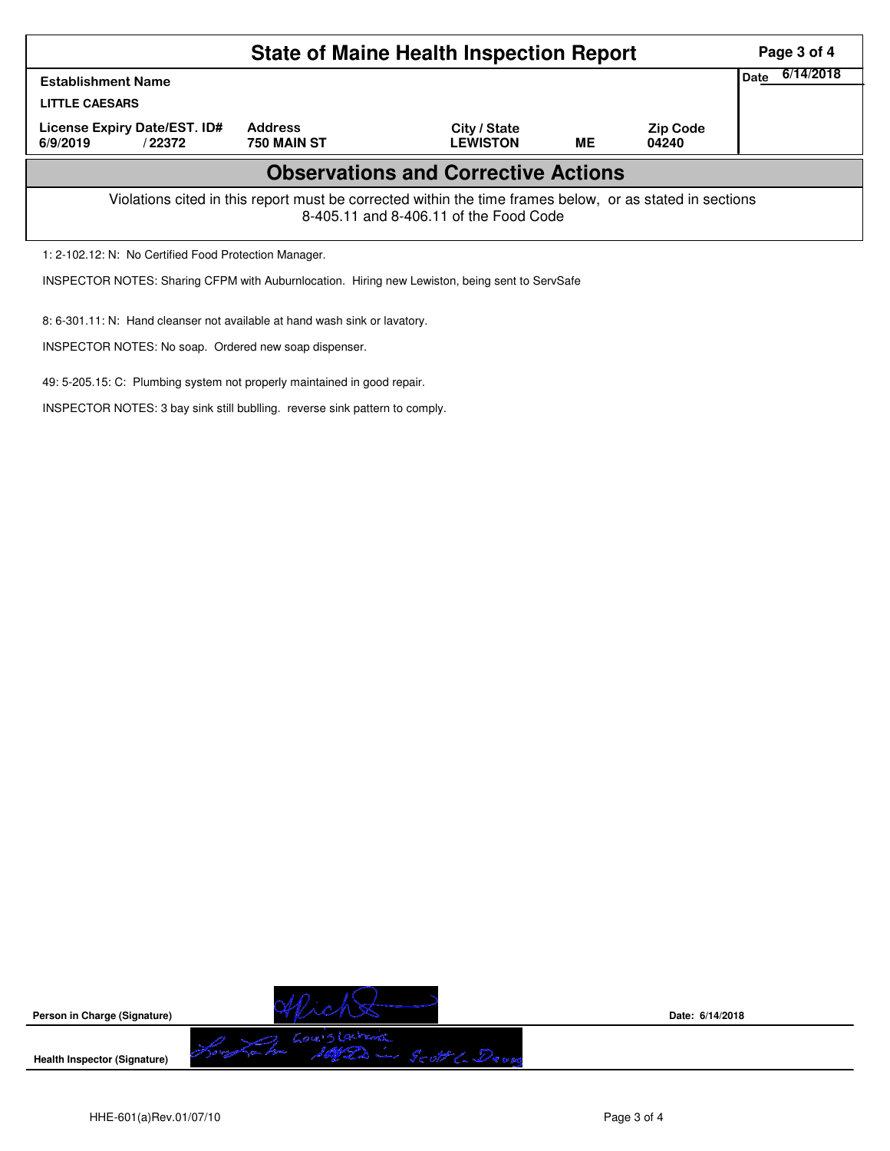|                                                                                                                                                    |                               | <b>State of Maine Health Inspection Report</b> |           |                          | Page 3 of 4       |  |  |  |  |
|----------------------------------------------------------------------------------------------------------------------------------------------------|-------------------------------|------------------------------------------------|-----------|--------------------------|-------------------|--|--|--|--|
| <b>Establishment Name</b><br><b>LITTLE CAESARS</b>                                                                                                 |                               |                                                |           |                          | 6/14/2018<br>Date |  |  |  |  |
| License Expiry Date/EST. ID#<br>6/9/2019<br>/22372                                                                                                 | <b>Address</b><br>750 MAIN ST | City / State<br><b>LEWISTON</b>                | <b>ME</b> | <b>Zip Code</b><br>04240 |                   |  |  |  |  |
|                                                                                                                                                    |                               | <b>Observations and Corrective Actions</b>     |           |                          |                   |  |  |  |  |
| Violations cited in this report must be corrected within the time frames below, or as stated in sections<br>8-405.11 and 8-406.11 of the Food Code |                               |                                                |           |                          |                   |  |  |  |  |
| 1: 2-102.12: N: No Certified Food Protection Manager.                                                                                              |                               |                                                |           |                          |                   |  |  |  |  |

INSPECTOR NOTES: Sharing CFPM with Auburnlocation. Hiring new Lewiston, being sent to ServSafe

8: 6-301.11: N: Hand cleanser not available at hand wash sink or lavatory.

INSPECTOR NOTES: No soap. Ordered new soap dispenser.

49: 5-205.15: C: Plumbing system not properly maintained in good repair.

INSPECTOR NOTES: 3 bay sink still bublling. reverse sink pattern to comply.



**Date: 6/14/2018**